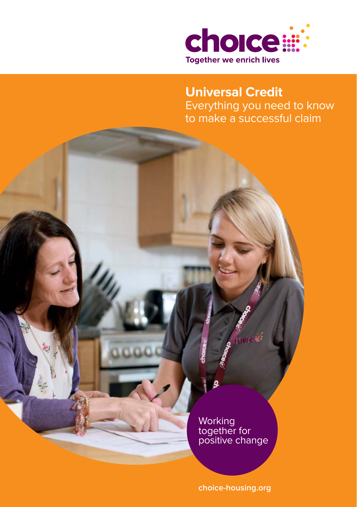

**Universal Credit** Everything you need to know to make a successful claim

**Working** together for positive change

**choice-housing.org**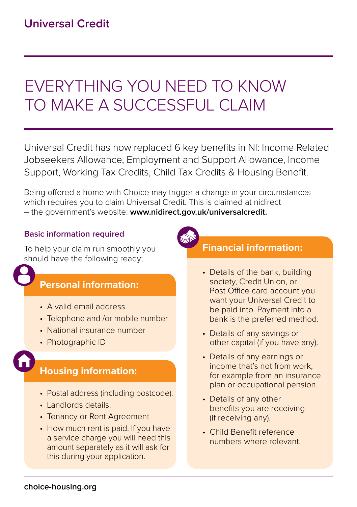# EVERYTHING YOU NEED TO KNOW TO MAKE A SUCCESSEUL CLAIM

Universal Credit has now replaced 6 key benefits in NI: Income Related Jobseekers Allowance, Employment and Support Allowance, Income Support, Working Tax Credits, Child Tax Credits & Housing Benefit.

Being offered a home with Choice may trigger a change in your circumstances which requires you to claim Universal Credit. This is claimed at nidirect – the government's website: **www.nidirect.gov.uk/universalcredit.** 

#### **Basic information required**

To help your claim run smoothly you should have the following ready;

## **Personal information:**

- A valid email address
- Telephone and /or mobile number
- National insurance number
- Photographic ID

# **Housing information:**

- Postal address (including postcode).
- Landlords details.
- Tenancy or Rent Agreement
- How much rent is paid. If you have a service charge you will need this amount separately as it will ask for this during your application.



# **Financial information:**

- Details of the bank, building society, Credit Union, or Post Office card account you want your Universal Credit to be paid into. Payment into a bank is the preferred method.
- Details of any savings or other capital (if you have any).
- Details of any earnings or income that's not from work, for example from an insurance plan or occupational pension.
- Details of any other benefits you are receiving (if receiving any).
- Child Benefit reference numbers where relevant.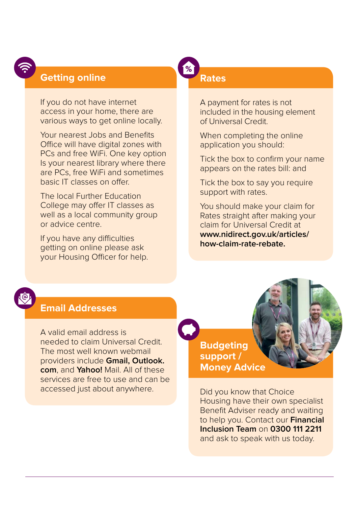### **Getting online**

If you do not have internet access in your home, there are various ways to get online locally.

Your nearest Jobs and Benefits Office will have digital zones with PCs and free WiFi. One key option Is your nearest library where there are PCs, free WiFi and sometimes basic IT classes on offer.

The local Further Education College may offer IT classes as well as a local community group or advice centre.

If you have any difficulties getting on online please ask your Housing Officer for help.

#### **Rates**

%

A payment for rates is not included in the housing element of Universal Credit.

When completing the online application you should:

Tick the box to confirm your name appears on the rates bill: and

Tick the box to say you require support with rates.

You should make your claim for Rates straight after making your claim for Universal Credit at **www.nidirect.gov.uk/articles/ how-claim-rate-rebate.** 

## **Email Addresses**

A valid email address is needed to claim Universal Credit. The most well known webmail providers include **Gmail, Outlook. com**, and **Yahoo!** Mail. All of these services are free to use and can be accessed just about anywhere.

**Budgeting support / Money Advice** 

Did you know that Choice Housing have their own specialist Benefit Adviser ready and waiting to help you. Contact our **Financial Inclusion Team** on **0300 111 2211** and ask to speak with us today.